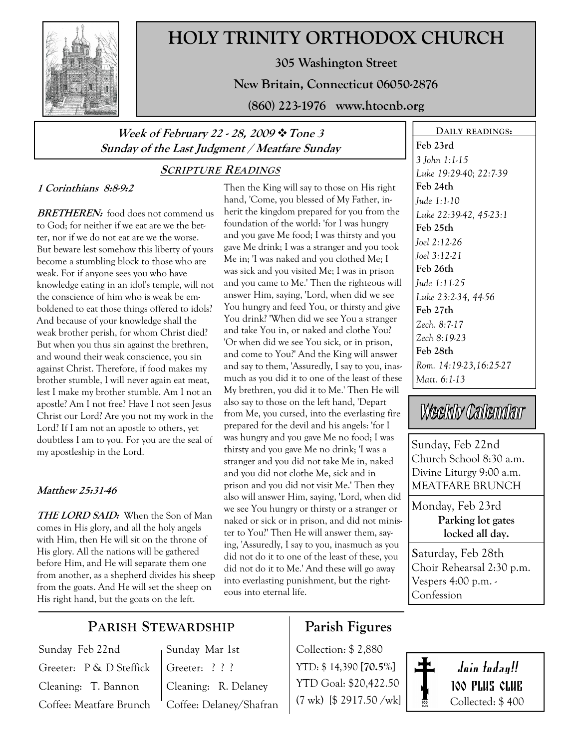

# HOLY TRINITY ORTHODOX CHURCH

305 Washington Street

New Britain, Connecticut 06050-2876

(860) 223-1976 www.htocnb.org

## Week of February 22 - 28, 2009  $\cdot$  Tone 3 Sunday of the Last Judgment / Meatfare Sunday

## SCRIPTURE READINGS

### 1 Corinthians 8:8-9:2

BRETHEREN: food does not commend us to God; for neither if we eat are we the better, nor if we do not eat are we the worse. But beware lest somehow this liberty of yours become a stumbling block to those who are weak. For if anyone sees you who have knowledge eating in an idol's temple, will not the conscience of him who is weak be emboldened to eat those things offered to idols? And because of your knowledge shall the weak brother perish, for whom Christ died? But when you thus sin against the brethren, and wound their weak conscience, you sin against Christ. Therefore, if food makes my brother stumble, I will never again eat meat, lest I make my brother stumble. Am I not an apostle? Am I not free? Have I not seen Jesus Christ our Lord? Are you not my work in the Lord? If I am not an apostle to others, yet doubtless I am to you. For you are the seal of my apostleship in the Lord.

### Matthew 25:31-46

THE LORD SAID: When the Son of Man comes in His glory, and all the holy angels with Him, then He will sit on the throne of His glory. All the nations will be gathered before Him, and He will separate them one from another, as a shepherd divides his sheep from the goats. And He will set the sheep on His right hand, but the goats on the left.

Then the King will say to those on His right hand, 'Come, you blessed of My Father, inherit the kingdom prepared for you from the foundation of the world: 'for I was hungry and you gave Me food; I was thirsty and you gave Me drink; I was a stranger and you took Me in; 'I was naked and you clothed Me; I was sick and you visited Me; I was in prison and you came to Me.' Then the righteous will answer Him, saying, 'Lord, when did we see You hungry and feed You, or thirsty and give You drink? 'When did we see You a stranger and take You in, or naked and clothe You? 'Or when did we see You sick, or in prison, and come to You?' And the King will answer and say to them, 'Assuredly, I say to you, inasmuch as you did it to one of the least of these My brethren, you did it to Me.' Then He will also say to those on the left hand, 'Depart from Me, you cursed, into the everlasting fire prepared for the devil and his angels: 'for I was hungry and you gave Me no food; I was thirsty and you gave Me no drink; 'I was a stranger and you did not take Me in, naked and you did not clothe Me, sick and in prison and you did not visit Me.' Then they also will answer Him, saying, 'Lord, when did we see You hungry or thirsty or a stranger or naked or sick or in prison, and did not minister to You?' Then He will answer them, saying, 'Assuredly, I say to you, inasmuch as you did not do it to one of the least of these, you did not do it to Me.' And these will go away into everlasting punishment, but the righteous into eternal life.

DAILY READINGS: Feb 23rd 3 John 1:1-15 Luke 19:29-40; 22:7-39 Feb 24th Jude 1:1-10 Luke 22:39-42, 45-23:1 Feb 25th Joel 2:12-26 Joel 3:12-21 Feb 26th Jude 1:11-25 Luke 23:2-34, 44-56 Feb 27th Zech. 8:7-17 Zech 8:19-23 Feb 28th Rom. 14:19-23,16:25-27 Matt. 6:1-13

# Weekly Calendar

Sunday, Feb 22nd Church School 8:30 a.m. Divine Liturgy 9:00 a.m. MEATFARE BRUNCH

Monday, Feb 23rd Parking lot gates locked all day.

Saturday, Feb 28th Choir Rehearsal 2:30 p.m. Vespers 4:00 p.m. - Confession

## PARISH STEWARDSHIP

Sunday Feb 22nd Greeter: P & D Steffick Cleaning: T. Bannon Coffee: Meatfare Brunch

## Sunday Mar 1st Greeter: ? ? ?

Cleaning: R. Delaney Coffee: Delaney/Shafran

## Parish Figures

Collection: \$ 2,880 YTD: \$ 14,390 [70.5%] YTD Goal: \$20,422.50 (7 wk) [\$ 2917.50 /wk]



Join today!! 100 PLUS CLUB Collected: \$ 400